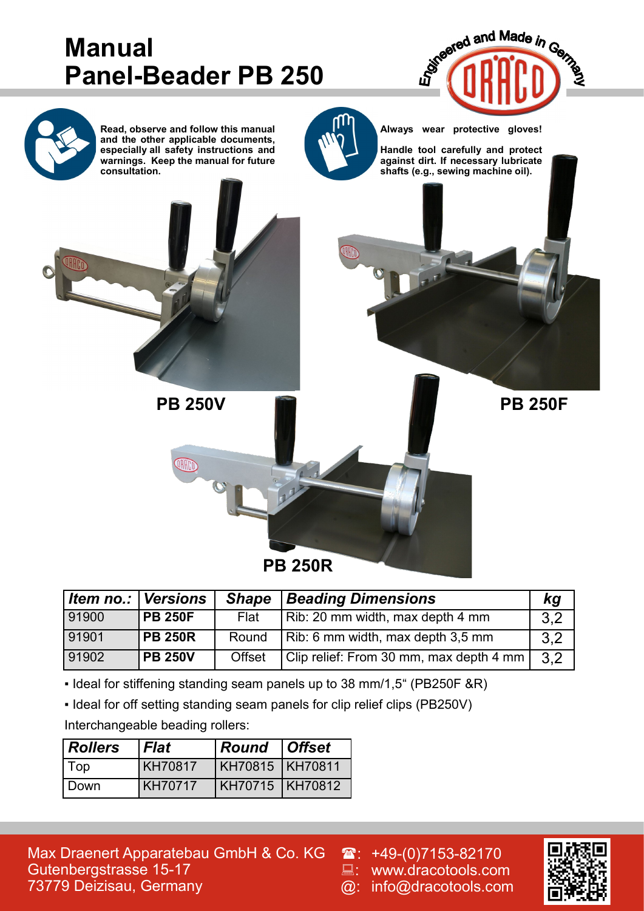

| ltem no.:   Versions |                | <b>Shape</b>  | <b>Beading Dimensions</b>               | kq  |
|----------------------|----------------|---------------|-----------------------------------------|-----|
| 91900                | <b>PB 250F</b> | Flat          | Rib: 20 mm width, max depth 4 mm        | 3,2 |
| 91901                | <b>PB 250R</b> | Round         | Rib: 6 mm width, max depth 3,5 mm       | 3.2 |
| 91902                | <b>PB 250V</b> | <b>Offset</b> | Clip relief: From 30 mm, max depth 4 mm | 3,2 |

▪ Ideal for stiffening standing seam panels up to 38 mm/1,5" (PB250F &R)

▪ Ideal for off setting standing seam panels for clip relief clips (PB250V)

Interchangeable beading rollers:

| Rollers | <b>Flat</b>    | <b>Round Offset</b> |  |
|---------|----------------|---------------------|--|
| Top     | <b>KH70817</b> | KH70815 KH70811     |  |
| l Down  | <b>KH70717</b> | KH70715 KH70812     |  |

Max Draenert Apparatebau GmbH & Co. KG Gutenbergstrasse 15-17 73779 Deizisau, Germany

 $\mathbf{\widehat{m}}$ : +49-(0)7153-82170 : www.dracotools.com @: info@dracotools.com